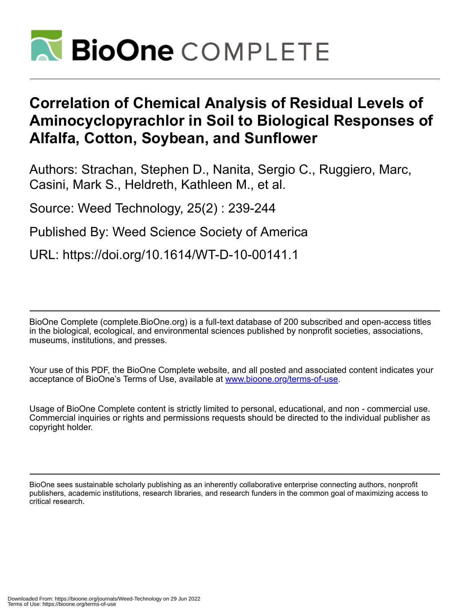

# **Correlation of Chemical Analysis of Residual Levels of Aminocyclopyrachlor in Soil to Biological Responses of Alfalfa, Cotton, Soybean, and Sunflower**

Authors: Strachan, Stephen D., Nanita, Sergio C., Ruggiero, Marc, Casini, Mark S., Heldreth, Kathleen M., et al.

Source: Weed Technology, 25(2) : 239-244

Published By: Weed Science Society of America

URL: https://doi.org/10.1614/WT-D-10-00141.1

BioOne Complete (complete.BioOne.org) is a full-text database of 200 subscribed and open-access titles in the biological, ecological, and environmental sciences published by nonprofit societies, associations, museums, institutions, and presses.

Your use of this PDF, the BioOne Complete website, and all posted and associated content indicates your acceptance of BioOne's Terms of Use, available at www.bioone.org/terms-of-use.

Usage of BioOne Complete content is strictly limited to personal, educational, and non - commercial use. Commercial inquiries or rights and permissions requests should be directed to the individual publisher as copyright holder.

BioOne sees sustainable scholarly publishing as an inherently collaborative enterprise connecting authors, nonprofit publishers, academic institutions, research libraries, and research funders in the common goal of maximizing access to critical research.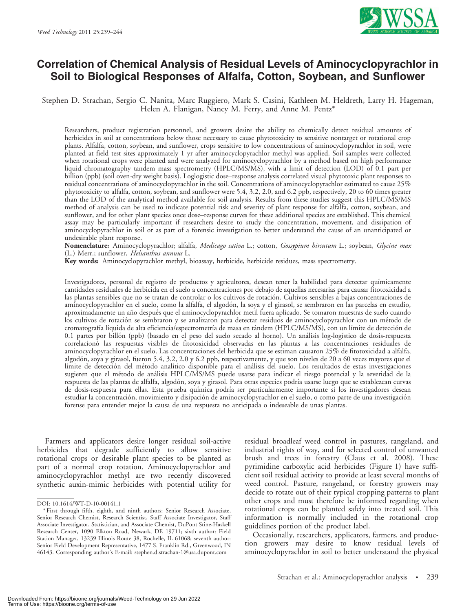

# Correlation of Chemical Analysis of Residual Levels of Aminocyclopyrachlor in Soil to Biological Responses of Alfalfa, Cotton, Soybean, and Sunflower

Stephen D. Strachan, Sergio C. Nanita, Marc Ruggiero, Mark S. Casini, Kathleen M. Heldreth, Larry H. Hageman, Helen A. Flanigan, Nancy M. Ferry, and Anne M. Pentz\*

Researchers, product registration personnel, and growers desire the ability to chemically detect residual amounts of herbicides in soil at concentrations below those necessary to cause phytotoxicity to sensitive nontarget or rotational crop plants. Alfalfa, cotton, soybean, and sunflower, crops sensitive to low concentrations of aminocyclopyrachlor in soil, were planted at field test sites approximately 1 yr after aminocyclopyrachlor methyl was applied. Soil samples were collected when rotational crops were planted and were analyzed for aminocyclopyrachlor by a method based on high performance liquid chromatography tandem mass spectrometry (HPLC/MS/MS), with a limit of detection (LOD) of 0.1 part per billion (ppb) (soil oven-dry weight basis). Loglogistic dose–response analysis correlated visual phytotoxic plant responses to residual concentrations of aminocyclopyrachlor in the soil. Concentrations of aminocyclopyrachlor estimated to cause 25% phytotoxicity to alfalfa, cotton, soybean, and sunflower were 5.4, 3.2, 2.0, and 6.2 ppb, respectively, 20 to 60 times greater than the LOD of the analytical method available for soil analysis. Results from these studies suggest this HPLC/MS/MS method of analysis can be used to indicate potential risk and severity of plant response for alfalfa, cotton, soybean, and sunflower, and for other plant species once dose–response curves for these additional species are established. This chemical assay may be particularly important if researchers desire to study the concentration, movement, and dissipation of aminocyclopyrachlor in soil or as part of a forensic investigation to better understand the cause of an unanticipated or undesirable plant response.

Nomenclature: Aminocyclopyrachlor; alfalfa, Medicago sativa L.; cotton, Gossypium hirsutum L.; soybean, Glycine max (L.) Merr.; sunflower, Helianthus annuus L.

Key words: Aminocyclopyrachlor methyl, bioassay, herbicide, herbicide residues, mass spectrometry.

Investigadores, personal de registro de productos y agricultores, desean tener la habilidad para detectar quı´micamente cantidades residuales de herbicida en el suelo a concentraciones por debajo de aquellas necesarias para causar fitotoxicidad a las plantas sensibles que no se tratan de controlar o los cultivos de rotación. Cultivos sensibles a bajas concentraciones de aminocyclopyrachlor en el suelo, como la alfalfa, el algodón, la soya y el girasol, se sembraron en las parcelas en estudio, aproximadamente un año después que el aminocyclopyrachlor metil fuera aplicado. Se tomaron muestras de suelo cuando los cultivos de rotación se sembraron y se analizaron para detectar residuos de aminocyclopyrachlor con un método de cromatografía líquida de alta eficiencia/espectrometría de masa en tándem (HPLC/MS/MS), con un límite de detección de 0.1 partes por billón (ppb) (basado en el peso del suelo secado al horno). Un análisis log-logístico de dosis-respuesta correlacionó las respuestas visibles de fitotoxicidad observadas en las plantas a las concentraciones residuales de aminocyclopyrachlor en el suelo. Las concentraciones del herbicida que se estiman causaron 25% de fitotoxicidad a alfalfa, algodón, soya y girasol, fueron 5.4, 3.2, 2.0 y 6.2 ppb, respectivamente, y que son niveles de 20 a 60 veces mayores que el límite de detección del método analítico disponible para el análisis del suelo. Los resultados de estas investigaciones sugieren que el método de análisis HPLC/MS/MS puede usarse para indicar el riesgo potencial y la severidad de la respuesta de las plantas de alfalfa, algodón, soya y girasol. Para otras especies podría usarse luego que se establezcan curvas de dosis-respuesta para ellas. Esta prueba química podría ser particularmente importante si los investigadores desean estudiar la concentración, movimiento y disipación de aminocyclopyrachlor en el suelo, o como parte de una investigación forense para entender mejor la causa de una respuesta no anticipada o indeseable de unas plantas.

Farmers and applicators desire longer residual soil-active herbicides that degrade sufficiently to allow sensitive rotational crops or desirable plant species to be planted as part of a normal crop rotation. Aminocyclopyrachlor and aminocyclopyrachlor methyl are two recently discovered synthetic auxin-mimic herbicides with potential utility for residual broadleaf weed control in pastures, rangeland, and industrial rights of way, and for selected control of unwanted brush and trees in forestry (Claus et al. 2008). These pyrimidine carboxylic acid herbicides (Figure 1) have sufficient soil residual activity to provide at least several months of weed control. Pasture, rangeland, or forestry growers may decide to rotate out of their typical cropping patterns to plant other crops and must therefore be informed regarding when rotational crops can be planted safely into treated soil. This information is normally included in the rotational crop guidelines portion of the product label.

Occasionally, researchers, applicators, farmers, and production growers may desire to know residual levels of aminocyclopyrachlor in soil to better understand the physical

DOI: 10.1614/WT-D-10-00141.1

<sup>\*</sup> First through fifth, eighth, and ninth authors: Senior Research Associate, Senior Research Chemist, Research Scientist, Staff Associate Investigator, Staff Associate Investigator, Statistician, and Associate Chemist, DuPont Stine-Haskell Research Center, 1090 Elkton Road, Newark, DE 19711; sixth author: Field Station Manager, 13239 Illinois Route 38, Rochelle, IL 61068; seventh author: Senior Field Development Representative, 1477 S. Franklin Rd., Greenwood, IN 46143. Corresponding author's E-mail: stephen.d.strachan-1@usa.dupont.com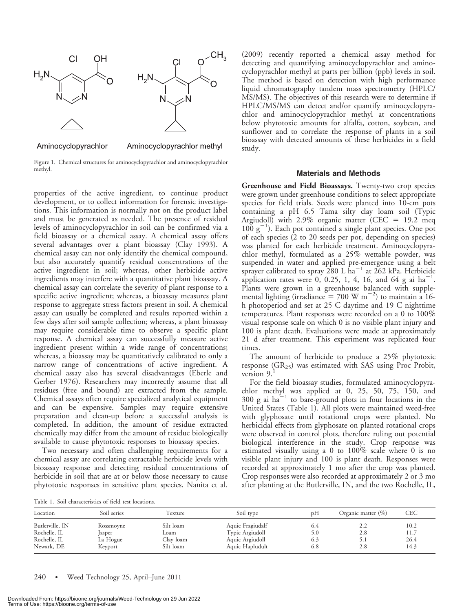

Figure 1. Chemical structures for aminocyclopyrachlor and aminocyclopyrachlor methyl.

properties of the active ingredient, to continue product development, or to collect information for forensic investigations. This information is normally not on the product label and must be generated as needed. The presence of residual levels of aminocyclopyrachlor in soil can be confirmed via a field bioassay or a chemical assay. A chemical assay offers several advantages over a plant bioassay (Clay 1993). A chemical assay can not only identify the chemical compound, but also accurately quantify residual concentrations of the active ingredient in soil; whereas, other herbicide active ingredients may interfere with a quantitative plant bioassay. A chemical assay can correlate the severity of plant response to a specific active ingredient; whereas, a bioassay measures plant response to aggregate stress factors present in soil. A chemical assay can usually be completed and results reported within a few days after soil sample collection; whereas, a plant bioassay may require considerable time to observe a specific plant response. A chemical assay can successfully measure active ingredient present within a wide range of concentrations; whereas, a bioassay may be quantitatively calibrated to only a narrow range of concentrations of active ingredient. A chemical assay also has several disadvantages (Eberle and Gerber 1976). Researchers may incorrectly assume that all residues (free and bound) are extracted from the sample. Chemical assays often require specialized analytical equipment and can be expensive. Samples may require extensive preparation and clean-up before a successful analysis is completed. In addition, the amount of residue extracted chemically may differ from the amount of residue biologically available to cause phytotoxic responses to bioassay species.

Two necessary and often challenging requirements for a chemical assay are correlating extractable herbicide levels with bioassay response and detecting residual concentrations of herbicide in soil that are at or below those necessary to cause phytotoxic responses in sensitive plant species. Nanita et al.

(2009) recently reported a chemical assay method for detecting and quantifying aminocyclopyrachlor and aminocyclopyrachlor methyl at parts per billion (ppb) levels in soil. The method is based on detection with high performance liquid chromatography tandem mass spectrometry (HPLC/ MS/MS). The objectives of this research were to determine if HPLC/MS/MS can detect and/or quantify aminocyclopyrachlor and aminocyclopyrachlor methyl at concentrations below phytotoxic amounts for alfalfa, cotton, soybean, and sunflower and to correlate the response of plants in a soil bioassay with detected amounts of these herbicides in a field study.

#### Materials and Methods

Greenhouse and Field Bioassays. Twenty-two crop species were grown under greenhouse conditions to select appropriate species for field trials. Seeds were planted into 10-cm pots containing a pH 6.5 Tama silty clay loam soil (Typic Argiudoll) with 2.9% organic matter (CEC = 19.2 meq  $100 \text{ g}^{-1}$ ). Each pot contained a single plant species. One pot of each species (2 to 20 seeds per pot, depending on species) was planted for each herbicide treatment. Aminocyclopyrachlor methyl, formulated as a 25% wettable powder, was suspended in water and applied pre-emergence using a belt sprayer calibrated to spray 280 L ha<sup>-1</sup> at 262 kPa. Herbicide application rates were 0, 0.25, 1, 4, 16, and 64 g ai  $ha^{-1}$ . Plants were grown in a greenhouse balanced with supplemental lighting (irradiance  $= 700 \text{ W m}^{-2}$ ) to maintain a 16h photoperiod and set at 25 C daytime and 19 C nighttime temperatures. Plant responses were recorded on a 0 to 100% visual response scale on which 0 is no visible plant injury and 100 is plant death. Evaluations were made at approximately 21 d after treatment. This experiment was replicated four times.

The amount of herbicide to produce a 25% phytotoxic response  $(GR_{25})$  was estimated with SAS using Proc Probit, version 9.

For the field bioassay studies, formulated aminocyclopyrachlor methyl was applied at 0, 25, 50, 75, 150, and  $300 \text{ g}$  ai ha<sup>-1</sup> to bare-ground plots in four locations in the United States (Table 1). All plots were maintained weed-free with glyphosate until rotational crops were planted. No herbicidal effects from glyphosate on planted rotational crops were observed in control plots, therefore ruling out potential biological interference in the study. Crop response was estimated visually using a 0 to 100% scale where 0 is no visible plant injury and 100 is plant death. Responses were recorded at approximately 1 mo after the crop was planted. Crop responses were also recorded at approximately 2 or 3 mo after planting at the Butlerville, IN, and the two Rochelle, IL,

Table 1. Soil characteristics of field test locations.

| Location        | Soil series | Texture   | Soil type        | pH  | Organic matter $(\% )$ | <b>CEC</b> |  |  |
|-----------------|-------------|-----------|------------------|-----|------------------------|------------|--|--|
| Butlerville, IN | Rossmoyne   | Silt loam | Aquic Fragiudalf | 6.4 | 2.2                    | 10.2       |  |  |
| Rochelle, IL    | Jasper      | Loam      | Typic Argiudoll  | 5.0 | 2.8                    | 11.7       |  |  |
| Rochelle, IL    | La Hogue    | Clay loam | Aquic Argiudoll  | 6.3 | 7.1                    | 26.4       |  |  |
| Newark, DE      | Keyport     | Silt loam | Aquic Hapludult  | 6.8 | 2.8                    | 14.3       |  |  |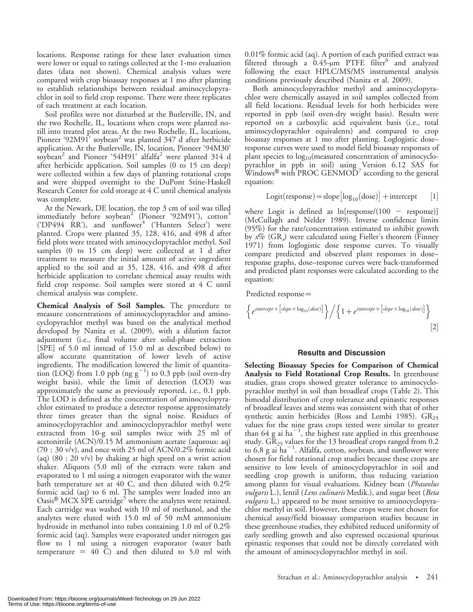locations. Response ratings for these later evaluation times were lower or equal to ratings collected at the 1-mo evaluation dates (data not shown). Chemical analysis values were compared with crop bioassay responses at 1 mo after planting to establish relationships between residual aminocyclopyrachlor in soil to field crop response. There were three replicates of each treatment at each location.

Soil profiles were not disturbed at the Butlerville, IN, and the two Rochelle, IL, locations when crops were planted notill into treated plot areas. At the two Rochelle, IL, locations, Pioneer '92M91' soybean<sup>2</sup> was planted 347 d after herbicide application. At the Butlerville, IN, location, Pioneer '94M30' soybean<sup>2</sup> and Pioneer '54H91' alfalfa<sup>2</sup> were planted 314 d after herbicide application. Soil samples (0 to 15 cm deep) were collected within a few days of planting rotational crops and were shipped overnight to the DuPont Stine-Haskell Research Center for cold storage at 4 C until chemical analysis was complete.

At the Newark, DE location, the top 3 cm of soil was tilled immediately before soybean<sup>2</sup> (Pioneer '92M91'), cotton<sup>3</sup>  $(DP494 \, RR')$ , and sunflower<sup>4</sup> ('Hunters Select') were planted. Crops were planted 35, 128, 416, and 498 d after field plots were treated with aminocyclopyrachlor methyl. Soil samples (0 to 15 cm deep) were collected at 1 d after treatment to measure the initial amount of active ingredient applied to the soil and at 35, 128, 416, and 498 d after herbicide application to correlate chemical assay results with field crop response. Soil samples were stored at 4 C until chemical analysis was complete.

Chemical Analysis of Soil Samples. The procedure to measure concentrations of aminocyclopyrachlor and aminocyclopyrachlor methyl was based on the analytical method developed by Nanita et al. (2009), with a dilution factor adjustment (i.e., final volume after solid-phase extraction [SPE] of 5.0 ml instead of 15.0 ml as described below) to allow accurate quantitation of lower levels of active ingredients. The modification lowered the limit of quantitation (LOQ) from 1.0 ppb (ng  $g^{-1}$ ) to 0.3 ppb (soil oven-dry weight basis), while the limit of detection (LOD) was approximately the same as previously reported, i.e., 0.1 ppb. The LOD is defined as the concentration of aminocyclopyrachlor estimated to produce a detector response approximately three times greater than the signal noise. Residues of aminocyclopyrachlor and aminocyclopyrachlor methyl were extracted from 10-g soil samples twice with 25 ml of acetonitrile (ACN)/0.15 M ammonium acetate (aqueous: aq)  $(70:30 \text{ v/v})$ , and once with 25 ml of ACN/0.2% formic acid (aq)  $(80 : 20 \text{ v/v})$  by shaking at high speed on a wrist action shaker. Aliquots (5.0 ml) of the extracts were taken and evaporated to 1 ml using a nitrogen evaporator with the water bath temperature set at 40 C, and then diluted with 0.2% formic acid (aq) to 6 ml. The samples were loaded into an  $\text{Oasis}^{\circledR}$  MCX SPE cartridge<sup>5</sup> where the analytes were retained. Each cartridge was washed with 10 ml of methanol, and the analytes were eluted with 15.0 ml of 50 mM ammonium hydroxide in methanol into tubes containing 1.0 ml of 0.2% formic acid (aq). Samples were evaporated under nitrogen gas flow to 1 ml using a nitrogen evaporator (water bath temperature  $= 40 \text{ C}$  and then diluted to 5.0 ml with

0.01% formic acid (aq). A portion of each purified extract was filtered through a  $0.45$ -µm PTFE filter<sup>6</sup> and analyzed following the exact HPLC/MS/MS instrumental analysis conditions previously described (Nanita et al. 2009).

Both aminocyclopyrachlor methyl and aminocyclopyrachlor were chemically assayed in soil samples collected from all field locations. Residual levels for both herbicides were reported in ppb (soil oven-dry weight basis). Results were reported on a carboxylic acid equivalent basis (i.e., total aminocyclopyrachlor equivalents) and compared to crop bioassay responses at 1 mo after planting. Loglogistic dose– response curves were used to model field bioassay responses of plant species to  $log_{10}($ measured concentration of aminocyclopyrachlor in ppb in soil) using Version 6.12 SAS for Windows<sup>®</sup> with PROC GENMOD<sup>7</sup> according to the general equation:

$$
Logit(respose) = slope[log_{10}(dose)] + intercept \qquad [1]
$$

where Logit is defined as  $\ln$ [response/(100 - response)] (McCullagh and Nelder 1989). Inverse confidence limits (95%) for the rate/concentration estimated to inhibit growth by  $x\%$  (GR<sub>x</sub>) were calculated using Fieller's theorem (Finney 1971) from loglogistic dose response curves. To visually compare predicted and observed plant responses in dose– response graphs, dose–response curves were back-transformed and predicted plant responses were calculated according to the equation:

Predicted response =

$$
\left\{ e^{intercept + \left[ slope \times log_{10}(dose) \right]} \right\} / \left\{ 1 + e^{intercept + \left[ slope \times log_{10}(dose) \right]} \right\}
$$
\n
$$
\tag{2}
$$

# Results and Discussion

Selecting Bioassay Species for Comparison of Chemical Analysis to Field Rotational Crop Results. In greenhouse studies, grass crops showed greater tolerance to aminocyclopyrachlor methyl in soil than broadleaf crops (Table 2). This bimodal distribution of crop tolerance and epinastic responses of broadleaf leaves and stems was consistent with that of other synthetic auxin herbicides (Ross and Lembi 1985).  $GR_{25}$ values for the nine grass crops tested were similar to greater than 64 g ai  $ha^{-1}$ , the highest rate applied in this greenhouse study.  $GR_{25}$  values for the 13 broadleaf crops ranged from 0.2 to  $6.8$  g ai  $ha^{-1}$ . Alfalfa, cotton, soybean, and sunflower were chosen for field rotational crop studies because these crops are sensitive to low levels of aminocyclopyrachlor in soil and seedling crop growth is uniform, thus reducing variation among plants for visual evaluations. Kidney bean (Phaseolus vulgaris L.), lentil (Lens culinaris Medik.), and sugar beet (Beta *vulgaris* L.) appeared to be most sensitive to aminocyclopyrachlor methyl in soil. However, these crops were not chosen for chemical assay/field bioassay comparison studies because in these greenhouse studies, they exhibited reduced uniformity of early seedling growth and also expressed occasional spurious epinastic responses that could not be directly correlated with the amount of aminocyclopyrachlor methyl in soil.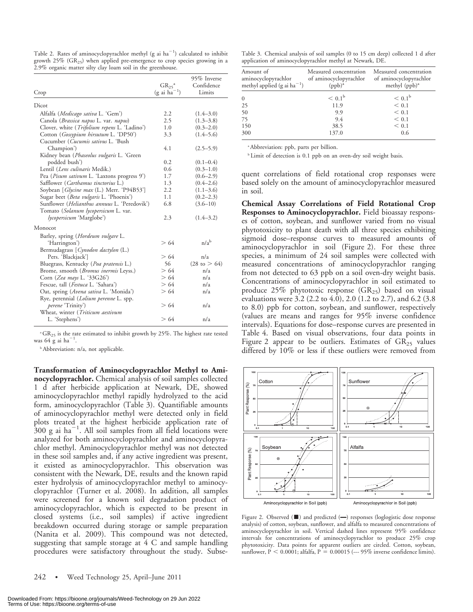Table 2. Rates of aminocyclopyrachlor methyl (g ai  $ha^{-1}$ ) calculated to inhibit growth 25% ( $GR<sub>25</sub>$ ) when applied pre-emergence to crop species growing in a 2.9% organic matter silty clay loam soil in the greenhouse.

|                                                      |                          | 95% Inverse             |
|------------------------------------------------------|--------------------------|-------------------------|
|                                                      | $GR_{25}$ <sup>a</sup>   | Confidence              |
| Crop                                                 | $(g \text{ ai ha}^{-1})$ | Limits                  |
| Dicot                                                |                          |                         |
| Alfalfa (Medicago sativa L. 'Gem')                   | 2.2                      | $(1.4 - 3.0)$           |
| Canola (Brassica napus L. var. napus)                | 2.5                      | $(1.3 - 3.8)$           |
| Clover, white (Trifolium repens L. 'Ladino')         | 1.0                      | $(0.3 - 2.0)$           |
| Cotton (Gossypium hirsutum L. 'DP50')                | 3.3                      | $(1.4 - 5.6)$           |
| Cucumber ( <i>Cucumis sativus</i> L. 'Bush           |                          |                         |
| Champion')                                           | 4.1                      | $(2.5-5.9)$             |
| Kidney bean (Phaseolus vulgaris L. 'Green            |                          |                         |
| podded bush')                                        | 0.2                      | $(0.1 - 0.4)$           |
| Lentil (Lens culinaris Medik.)                       | 0.6                      | $(0.3-1.0)$             |
| Pea ( <i>Pisum sativum</i> L. 'Laxtons progress 9')  | 1.7                      | (0.6–2.9)               |
| Safflower ( <i>Carthamus tinctorius</i> L.)          | 1.3                      | $(0.4 - 2.6)$           |
| Soybean [Glycine max (L.) Merr. 'P94B53']            | 2.2                      | $(1.1 - 3.6)$           |
| Sugar beet (Beta vulgaris L. 'Phoenix')              | 1.1                      | $(0.2 - 2.3)$           |
| Sunflower ( <i>Helianthus annuus</i> L. 'Peredovik') | 6.8                      | $(3.6 - 10)$            |
| Tomato (Solanum lycopersicum L. var.                 |                          |                         |
| <i>lycopersicum</i> 'Marglobe')                      | 2.3                      | $(1.4 - 3.2)$           |
| Monocot                                              |                          |                         |
| Barley, spring (Hordeum vulgare L.                   |                          |                         |
| 'Harrington')                                        | > 64                     | $n/a^b$                 |
| Bermudagrass [Cynodon dactylon (L.)                  |                          |                         |
| Pers. 'Blackjack']                                   | > 64                     | n/a                     |
| Bluegrass, Kentucky ( <i>Poa pratensis</i> L.)       | 56                       | $(28 \text{ to } > 64)$ |
| Brome, smooth (Bromus inermis Leyss.)                | > 64                     | n/a                     |
| Corn (Zea mays L. '33G26')                           | > 64                     | n/a                     |
| Fescue, tall (Festuca L. 'Sahara')                   | > 64                     | n/a                     |
| Oat, spring (Avena sativa L. 'Monida')               | > 64                     | n/a                     |
| Rye, perennial (Lolium perenne L. spp.               |                          |                         |
| <i>perene</i> 'Trinity')                             | > 64                     | n/a                     |
| Wheat, winter (Triticum aestivum                     |                          |                         |
| L. 'Stephens')                                       | > 64                     | n/a                     |

 ${}^4$ GR<sub>25</sub> is the rate estimated to inhibit growth by 25%. The highest rate tested was 64 g ai ha<sup>-1</sup>.

**b** Abbreviation: n/a, not applicable.

Transformation of Aminocyclopyrachlor Methyl to Aminocyclopyrachlor. Chemical analysis of soil samples collected 1 d after herbicide application at Newark, DE, showed aminocyclopyrachlor methyl rapidly hydrolyzed to the acid form, aminocyclopyrachlor (Table 3). Quantifiable amounts of aminocyclopyrachlor methyl were detected only in field plots treated at the highest herbicide application rate of  $\overline{3}00$  g ai ha $^{-1}$ . All soil samples from all field locations were analyzed for both aminocyclopyrachlor and aminocyclopyrachlor methyl. Aminocyclopyrachlor methyl was not detected in these soil samples and, if any active ingredient was present, it existed as aminocyclopyrachlor. This observation was consistent with the Newark, DE, results and the known rapid ester hydrolysis of aminocyclopyrachlor methyl to aminocyclopyrachlor (Turner et al. 2008). In addition, all samples were screened for a known soil degradation product of aminocyclopyrachlor, which is expected to be present in closed systems (i.e., soil samples) if active ingredient breakdown occurred during storage or sample preparation (Nanita et al. 2009). This compound was not detected, suggesting that sample storage at 4 C and sample handling procedures were satisfactory throughout the study. Subse-

Table 3. Chemical analysis of soil samples (0 to 15 cm deep) collected 1 d after application of aminocyclopyrachlor methyl at Newark, DE.

| Amount of<br>aminocyclopyrachlor<br>methyl applied (g ai ha <sup>-1</sup> ) | Measured concentration<br>of aminocyclopyrachlor<br>$(ppb)^{a}$ | Measured concentration<br>of aminocyclopyrachlor<br>methyl $(ppb)^a$ |
|-----------------------------------------------------------------------------|-----------------------------------------------------------------|----------------------------------------------------------------------|
| $\overline{0}$                                                              | $< 0.1^{\rm b}$                                                 | $< 0.1^{\rm b}$                                                      |
| 25                                                                          | 11.9                                                            | < 0.1                                                                |
| 50                                                                          | 9.9                                                             | < 0.1                                                                |
| 75                                                                          | 9.4                                                             | < 0.1                                                                |
| 150                                                                         | 38.5                                                            | < 0.1                                                                |
| 300                                                                         | 137.0                                                           | 0.6                                                                  |

<sup>a</sup> Abbreviation: ppb, parts per billion.

<sup>b</sup> Limit of detection is 0.1 ppb on an oven-dry soil weight basis.

quent correlations of field rotational crop responses were based solely on the amount of aminocyclopyrachlor measured in soil.

Chemical Assay Correlations of Field Rotational Crop Responses to Aminocyclopyrachlor. Field bioassay responses of cotton, soybean, and sunflower varied from no visual phytotoxicity to plant death with all three species exhibiting sigmoid dose–response curves to measured amounts of aminocyclopyrachlor in soil (Figure 2). For these three species, a minimum of 24 soil samples were collected with measured concentrations of aminocyclopyrachlor ranging from not detected to 63 ppb on a soil oven-dry weight basis. Concentrations of aminocyclopyrachlor in soil estimated to produce 25% phytotoxic response  $(GR_{25})$  based on visual evaluations were 3.2 (2.2 to 4.0), 2.0 (1.2 to 2.7), and 6.2 (3.8 to 8.0) ppb for cotton, soybean, and sunflower, respectively (values are means and ranges for 95% inverse confidence intervals). Equations for dose–response curves are presented in Table 4. Based on visual observations, four data points in Figure 2 appear to be outliers. Estimates of  $GR_{25}$  values differed by 10% or less if these outliers were removed from



Figure 2. Observed ( $\blacksquare$ ) and predicted ( $\bigleftharpoonup$ ) responses (loglogistic dose response analysis) of cotton, soybean, sunflower, and alfalfa to measured concentrations of aminocyclopyrachlor in soil. Vertical dashed lines represent 95% confidence intervals for concentrations of aminocyclopyrachlor to produce 25% crop phytotoxicity. Data points for apparent outliers are circled. Cotton, soybean, sunflower,  $P < 0.0001$ ; alfalfa,  $P = 0.00015$  (--- 95% inverse confidence limits).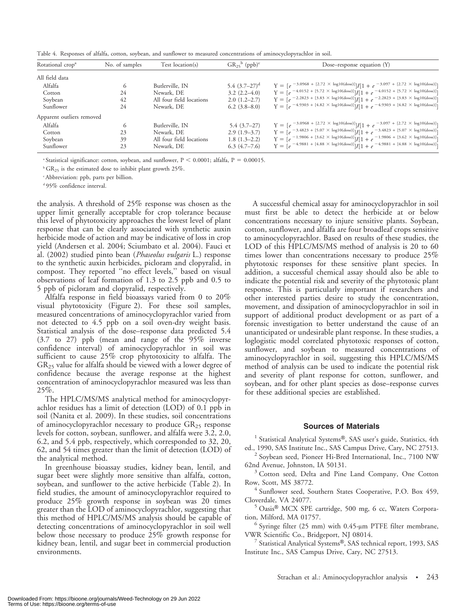Table 4. Responses of alfalfa, cotton, soybean, and sunflower to measured concentrations of aminocyclopyrachlor in soil.

| Rotational crop <sup>a</sup>              | No. of samples             | Test location(s)                                                        | $GR_{25}^b$ (ppb) <sup>c</sup>                                            | Dose–response equation $(Y)$                                                                                                                                                                                                                                                                                                                                                                                                               |
|-------------------------------------------|----------------------------|-------------------------------------------------------------------------|---------------------------------------------------------------------------|--------------------------------------------------------------------------------------------------------------------------------------------------------------------------------------------------------------------------------------------------------------------------------------------------------------------------------------------------------------------------------------------------------------------------------------------|
| All field data                            |                            |                                                                         |                                                                           |                                                                                                                                                                                                                                                                                                                                                                                                                                            |
| Alfalfa<br>Cotton<br>Soybean<br>Sunflower | 6<br>24<br>42<br>24        | Butlerville, IN<br>Newark, DE<br>All four field locations<br>Newark, DE | 5.4 $(3.7-27)^d$<br>$3.2(2.2-4.0)$<br>$2.0(1.2-2.7)$<br>$6.2$ $(3.8-8.0)$ | $Y = [e^{-3.0968 + [2.72 \times log10(dose)]}]/[1 + e^{-3.097 + [2.72 \times log10(dose)]}]$<br>$Y = [e^{-4.0152 + [5.72 \times log10(dose)]}]/[1 + e^{-4.0152 + [5.72 \times log10(dose)]}]$<br>$Y = \left[ e^{-2.2823 + [3.83 \times log10(dose)]} \right] / [1 + e^{-2.2823 + [3.83 \times log10(dose)]}]$<br>$Y = \left[ e^{-4.9303 + [4.82 \times log10(dose)]} \right] / \left[ 1 + e^{-4.9303 + [4.82 \times log10(dose)]} \right]$ |
| Apparent outliers removed                 |                            |                                                                         |                                                                           |                                                                                                                                                                                                                                                                                                                                                                                                                                            |
| Alfalfa<br>Cotton<br>Soybean<br>Sunflower | $\sigma$<br>23<br>39<br>23 | Butlerville, IN<br>Newark, DE<br>All four field locations<br>Newark, DE | $5.4(3.7-27)$<br>$2.9(1.9-3.7)$<br>$1.8(1.3-2.2)$<br>6.3(4.7–7.6)         | $Y = [e^{-3.0968 + [2.72 \times log10(dose)]}]/[1 + e^{-3.097 + [2.72 \times log10(dose)]}]$<br>$Y = [e^{-3.4823 + [5.07 \times log10(dose)]}]/[1 + e^{-3.4823 + [5.07 \times log10(dose)]}]$<br>$Y = [e^{-1.9806 + [3.62 \times log10(dose)]}][1 + e^{-1.9806 + [3.62 \times log10(dose)]}]$<br>$Y = \left[ e^{-4.9881 + [4.88 \times log10(dose)]} \right] \left[ 1 + e^{-4.9881 + [4.88 \times log10(dose)]} \right]$                   |

<sup>a</sup> Statistical significance: cotton, soybean, and sunflower,  $P < 0.0001$ ; alfalfa,  $P = 0.00015$ .

 $b$  GR<sub>25</sub> is the estimated dose to inhibit plant growth 25%.

<sup>c</sup> Abbreviation: ppb, parts per billion.

<sup>d 95%</sup> confidence interval.

the analysis. A threshold of 25% response was chosen as the upper limit generally acceptable for crop tolerance because this level of phytotoxicity approaches the lowest level of plant response that can be clearly associated with synthetic auxin herbicide mode of action and may be indicative of loss in crop yield (Andersen et al. 2004; Sciumbato et al. 2004). Fauci et al. (2002) studied pinto bean (Phaseolus vulgaris L.) response to the synthetic auxin herbicides, picloram and clopyralid, in compost. They reported ''no effect levels,'' based on visual observations of leaf formation of 1.3 to 2.5 ppb and 0.5 to 5 ppb of picloram and clopyralid, respectively.

Alfalfa response in field bioassays varied from 0 to 20% visual phytotoxicity (Figure 2). For these soil samples, measured concentrations of aminocyclopyrachlor varied from not detected to 4.5 ppb on a soil oven-dry weight basis. Statistical analysis of the dose–response data predicted 5.4 (3.7 to 27) ppb (mean and range of the 95% inverse confidence interval) of aminocyclopyrachlor in soil was sufficient to cause 25% crop phytotoxicity to alfalfa. The  $GR<sub>25</sub>$  value for alfalfa should be viewed with a lower degree of confidence because the average response at the highest concentration of aminocyclopyrachlor measured was less than 25%.

The HPLC/MS/MS analytical method for aminocyclopyrachlor residues has a limit of detection (LOD) of 0.1 ppb in soil (Nanita et al. 2009). In these studies, soil concentrations of aminocyclopyrachlor necessary to produce GR<sub>25</sub> response levels for cotton, soybean, sunflower, and alfalfa were 3.2, 2.0, 6.2, and 5.4 ppb, respectively, which corresponded to 32, 20, 62, and 54 times greater than the limit of detection (LOD) of the analytical method.

In greenhouse bioassay studies, kidney bean, lentil, and sugar beet were slightly more sensitive than alfalfa, cotton, soybean, and sunflower to the active herbicide (Table 2). In field studies, the amount of aminocyclopyrachlor required to produce 25% growth response in soybean was 20 times greater than the LOD of aminocyclopyrachlor, suggesting that this method of HPLC/MS/MS analysis should be capable of detecting concentrations of aminocyclopyrachlor in soil well below those necessary to produce 25% growth response for kidney bean, lentil, and sugar beet in commercial production environments.

A successful chemical assay for aminocyclopyrachlor in soil must first be able to detect the herbicide at or below concentrations necessary to injure sensitive plants. Soybean, cotton, sunflower, and alfalfa are four broadleaf crops sensitive to aminocyclopyrachlor. Based on results of these studies, the LOD of this HPLC/MS/MS method of analysis is 20 to 60 times lower than concentrations necessary to produce 25% phytotoxic responses for these sensitive plant species. In addition, a successful chemical assay should also be able to indicate the potential risk and severity of the phytotoxic plant response. This is particularly important if researchers and other interested parties desire to study the concentration, movement, and dissipation of aminocyclopyrachlor in soil in support of additional product development or as part of a forensic investigation to better understand the cause of an unanticipated or undesirable plant response. In these studies, a loglogistic model correlated phytotoxic responses of cotton, sunflower, and soybean to measured concentrations of aminocyclopyrachlor in soil, suggesting this HPLC/MS/MS method of analysis can be used to indicate the potential risk and severity of plant response for cotton, sunflower, and soybean, and for other plant species as dose–response curves for these additional species are established.

### Sources of Materials

<sup>1</sup> Statistical Analytical Systems®, SAS user's guide, Statistics, 4th ed., 1990, SAS Institute Inc., SAS Campus Drive, Cary, NC 27513.

 $^{2}$  Soybean seed, Pioneer Hi-Bred International, Inc., 7100 NW 62nd Avenue, Johnston, IA 50131. <sup>3</sup> Cotton seed, Delta and Pine Land Company, One Cotton

Row, Scott, MS 38772. <sup>4</sup> Sunflower seed, Southern States Cooperative, P.O. Box 459,

Cloverdale, VA 24077.

 $5$  Oasis® MCX SPE cartridge, 500 mg, 6 cc, Waters Corpora-

tion, Milford, MA 01757.<br><sup>6</sup> Syringe filter (25 mm) with 0.45-µm PTFE filter membrane, VWR Scientific Co., Bridgeport, NJ 08014.

Statistical Analytical Systems®, SAS technical report, 1993, SAS Institute Inc., SAS Campus Drive, Cary, NC 27513.